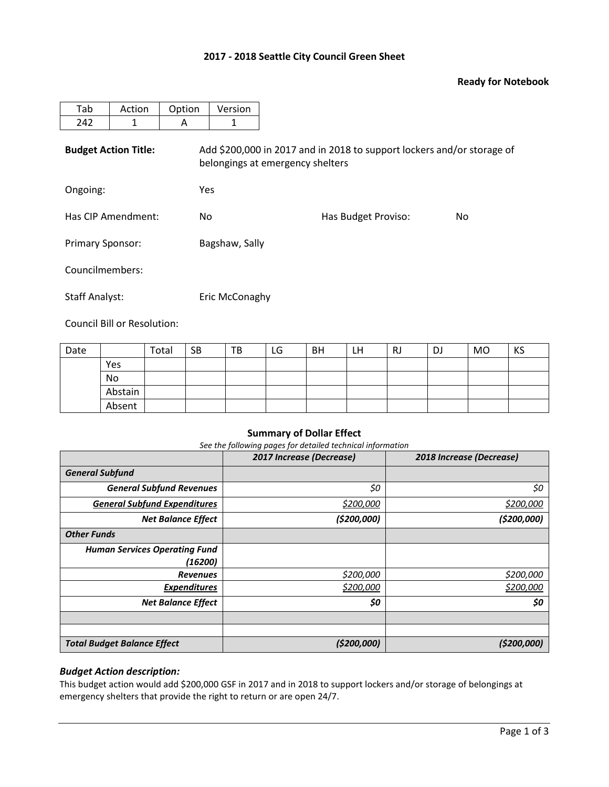# **2017 - 2018 Seattle City Council Green Sheet**

#### **Ready for Notebook**

| Tab                         | Action | Option | Version                                                                                                    |                     |     |  |  |  |  |
|-----------------------------|--------|--------|------------------------------------------------------------------------------------------------------------|---------------------|-----|--|--|--|--|
| 242                         | 1      | A      | 1                                                                                                          |                     |     |  |  |  |  |
| <b>Budget Action Title:</b> |        |        | Add \$200,000 in 2017 and in 2018 to support lockers and/or storage of<br>belongings at emergency shelters |                     |     |  |  |  |  |
| Ongoing:                    |        |        | Yes                                                                                                        |                     |     |  |  |  |  |
| Has CIP Amendment:          |        | No.    |                                                                                                            | Has Budget Proviso: | No. |  |  |  |  |
| <b>Primary Sponsor:</b>     |        |        | Bagshaw, Sally                                                                                             |                     |     |  |  |  |  |
| Councilmembers:             |        |        |                                                                                                            |                     |     |  |  |  |  |
| <b>Staff Analyst:</b>       |        |        | Eric McConaghy                                                                                             |                     |     |  |  |  |  |

Council Bill or Resolution:

| Date |         | Total | <b>SB</b> | TB | LG | <b>BH</b> | LH | RJ | DJ | <b>MO</b> | KS |
|------|---------|-------|-----------|----|----|-----------|----|----|----|-----------|----|
|      | Yes     |       |           |    |    |           |    |    |    |           |    |
|      | No      |       |           |    |    |           |    |    |    |           |    |
|      | Abstain |       |           |    |    |           |    |    |    |           |    |
|      | Absent  |       |           |    |    |           |    |    |    |           |    |

#### **Summary of Dollar Effect**

*See the following pages for detailed technical information*

|                                      | 2017 Increase (Decrease) | 2018 Increase (Decrease) |
|--------------------------------------|--------------------------|--------------------------|
| <b>General Subfund</b>               |                          |                          |
| <b>General Subfund Revenues</b>      | \$0                      | \$0                      |
| <b>General Subfund Expenditures</b>  | \$200,000                | \$200,000                |
| <b>Net Balance Effect</b>            | (\$200,000)              | (\$200,000)              |
| <b>Other Funds</b>                   |                          |                          |
| <b>Human Services Operating Fund</b> |                          |                          |
| (16200)                              |                          |                          |
| <b>Revenues</b>                      | \$200,000                | \$200,000                |
| <b>Expenditures</b>                  | \$200,000                | \$200,000                |
| <b>Net Balance Effect</b>            | \$0                      | \$0                      |
|                                      |                          |                          |
|                                      |                          |                          |
| <b>Total Budget Balance Effect</b>   | ( \$200,000]             | ( \$200,000]             |

### *Budget Action description:*

This budget action would add \$200,000 GSF in 2017 and in 2018 to support lockers and/or storage of belongings at emergency shelters that provide the right to return or are open 24/7.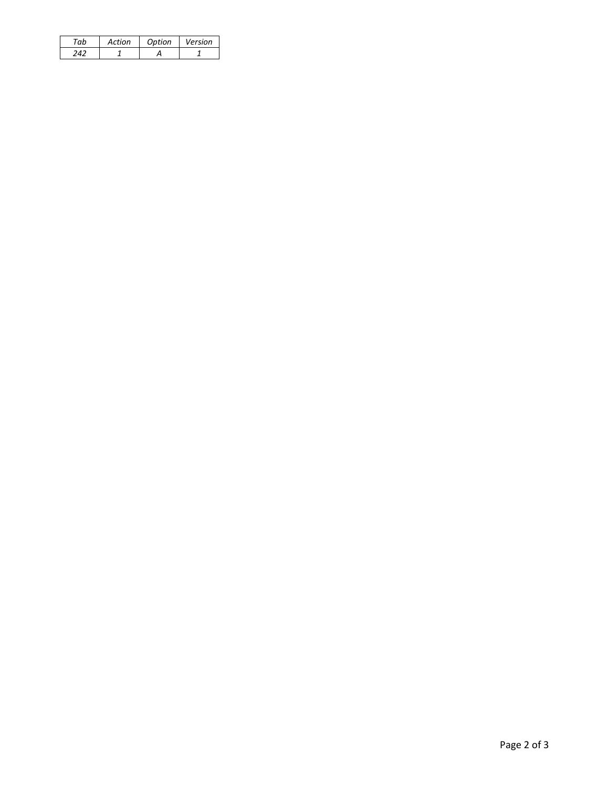| Action | Option | Version |
|--------|--------|---------|
|        |        |         |